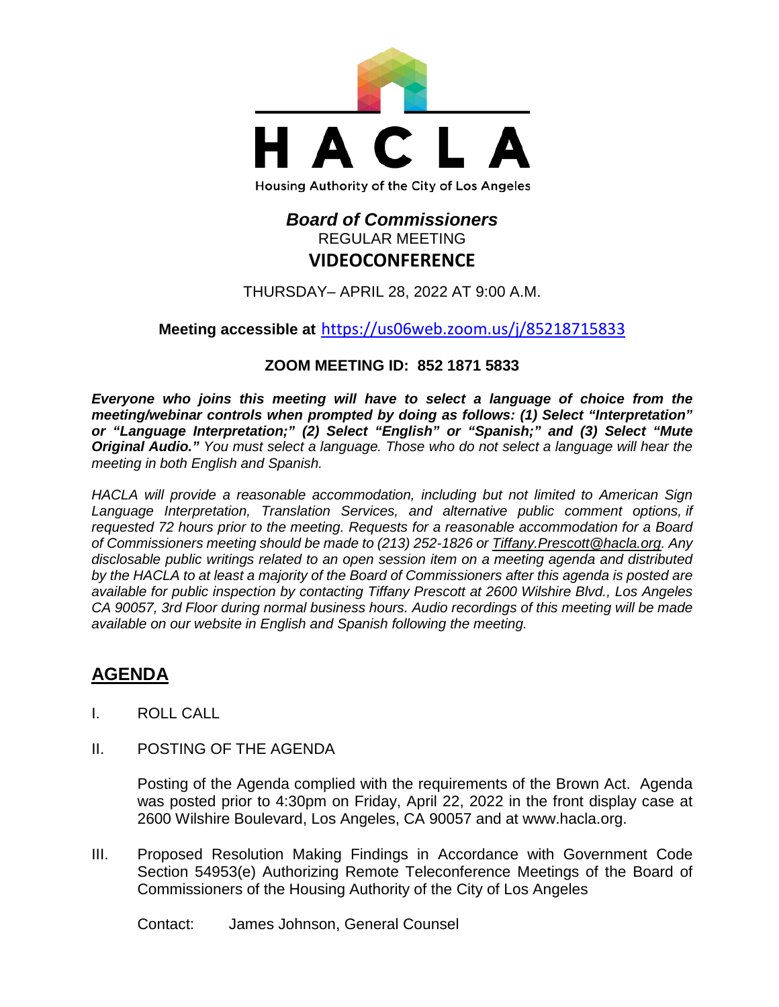

# *Board of Commissioners* REGULAR MEETING **VIDEOCONFERENCE**

THURSDAY– APRIL 28, 2022 AT 9:00 A.M.

## **Meeting accessible at** <https://us06web.zoom.us/j/85218715833>

## **ZOOM MEETING ID: 852 1871 5833**

*Everyone who joins this meeting will have to select a language of choice from the meeting/webinar controls when prompted by doing as follows: (1) Select "Interpretation" or "Language Interpretation;" (2) Select "English" or "Spanish;" and (3) Select "Mute Original Audio." You must select a language. Those who do not select a language will hear the meeting in both English and Spanish.*

*HACLA will provide a reasonable accommodation, including but not limited to American Sign Language Interpretation, Translation Services, and alternative public comment options, if requested 72 hours prior to the meeting. Requests for a reasonable accommodation for a Board of Commissioners meeting should be made to (213) 252-1826 or Tiffany.Prescott@hacla.org. Any disclosable public writings related to an open session item on a meeting agenda and distributed by the HACLA to at least a majority of the Board of Commissioners after this agenda is posted are available for public inspection by contacting Tiffany Prescott at 2600 Wilshire Blvd., Los Angeles CA 90057, 3rd Floor during normal business hours. Audio recordings of this meeting will be made available on our website in English and Spanish following the meeting.*

# **AGENDA**

- I. ROLL CALL
- II. POSTING OF THE AGENDA

Posting of the Agenda complied with the requirements of the Brown Act. Agenda was posted prior to 4:30pm on Friday, April 22, 2022 in the front display case at 2600 Wilshire Boulevard, Los Angeles, CA 90057 and at [www.hacla.org.](http://www.hacla.org/)

III. Proposed Resolution Making Findings in Accordance with Government Code Section 54953(e) Authorizing Remote Teleconference Meetings of the Board of Commissioners of the Housing Authority of the City of Los Angeles

Contact: James Johnson, General Counsel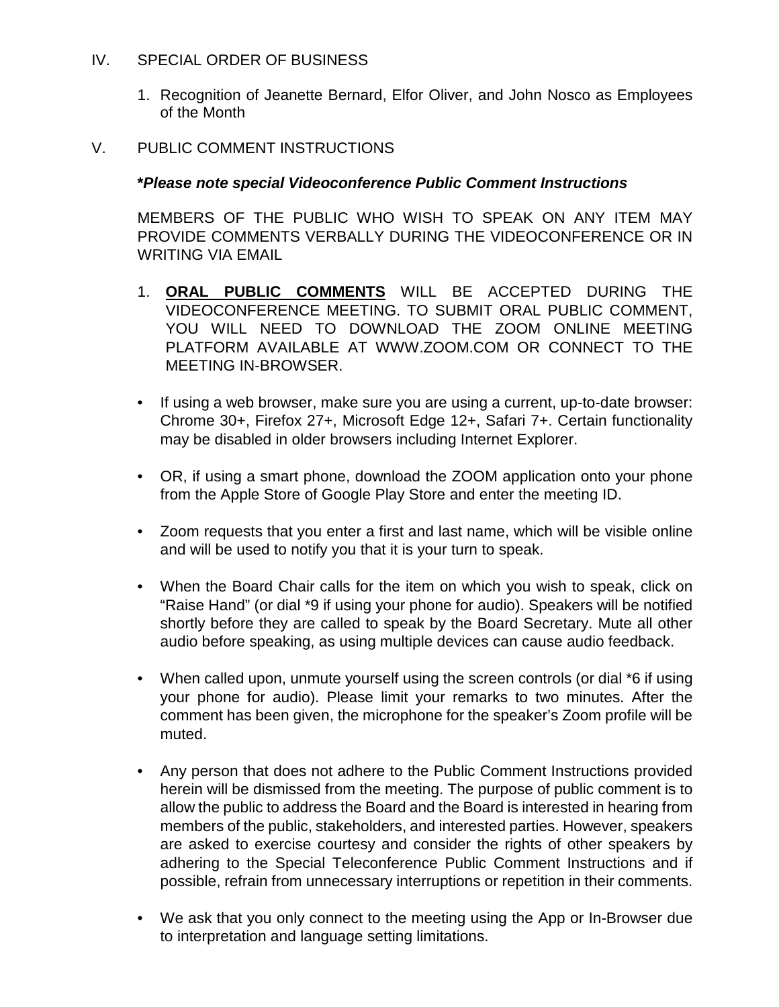#### IV. SPECIAL ORDER OF BUSINESS

1. Recognition of Jeanette Bernard, Elfor Oliver, and John Nosco as Employees of the Month

#### V. PUBLIC COMMENT INSTRUCTIONS

#### **\****Please note special Videoconference Public Comment Instructions*

MEMBERS OF THE PUBLIC WHO WISH TO SPEAK ON ANY ITEM MAY PROVIDE COMMENTS VERBALLY DURING THE VIDEOCONFERENCE OR IN WRITING VIA EMAIL

- 1. **ORAL PUBLIC COMMENTS** WILL BE ACCEPTED DURING THE VIDEOCONFERENCE MEETING. TO SUBMIT ORAL PUBLIC COMMENT, YOU WILL NEED TO DOWNLOAD THE ZOOM ONLINE MEETING PLATFORM AVAILABLE AT WWW.ZOOM.COM OR CONNECT TO THE MEETING IN-BROWSER.
- If using a web browser, make sure you are using a current, up-to-date browser: Chrome 30+, Firefox 27+, Microsoft Edge 12+, Safari 7+. Certain functionality may be disabled in older browsers including Internet Explorer.
- OR, if using a smart phone, download the ZOOM application onto your phone from the Apple Store of Google Play Store and enter the meeting ID.
- Zoom requests that you enter a first and last name, which will be visible online and will be used to notify you that it is your turn to speak.
- When the Board Chair calls for the item on which you wish to speak, click on "Raise Hand" (or dial \*9 if using your phone for audio). Speakers will be notified shortly before they are called to speak by the Board Secretary. Mute all other audio before speaking, as using multiple devices can cause audio feedback.
- When called upon, unmute yourself using the screen controls (or dial \*6 if using your phone for audio). Please limit your remarks to two minutes. After the comment has been given, the microphone for the speaker's Zoom profile will be muted.
- Any person that does not adhere to the Public Comment Instructions provided herein will be dismissed from the meeting. The purpose of public comment is to allow the public to address the Board and the Board is interested in hearing from members of the public, stakeholders, and interested parties. However, speakers are asked to exercise courtesy and consider the rights of other speakers by adhering to the Special Teleconference Public Comment Instructions and if possible, refrain from unnecessary interruptions or repetition in their comments.
- We ask that you only connect to the meeting using the App or In-Browser due to interpretation and language setting limitations.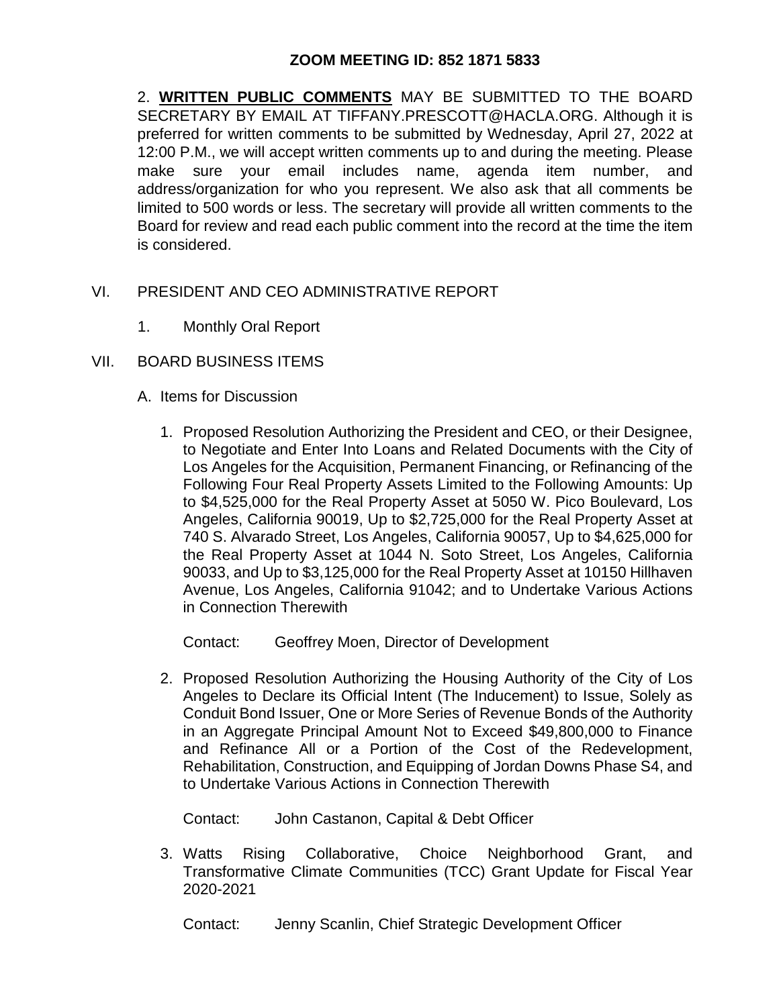## **ZOOM MEETING ID: 852 1871 5833**

2. **WRITTEN PUBLIC COMMENTS** MAY BE SUBMITTED TO THE BOARD SECRETARY BY EMAIL AT TIFFANY.PRESCOTT@HACLA.ORG. Although it is preferred for written comments to be submitted by Wednesday, April 27, 2022 at 12:00 P.M., we will accept written comments up to and during the meeting. Please make sure your email includes name, agenda item number, and address/organization for who you represent. We also ask that all comments be limited to 500 words or less. The secretary will provide all written comments to the Board for review and read each public comment into the record at the time the item is considered.

- VI. PRESIDENT AND CEO ADMINISTRATIVE REPORT
	- 1. Monthly Oral Report
- VII. BOARD BUSINESS ITEMS
	- A. Items for Discussion
		- 1. Proposed Resolution Authorizing the President and CEO, or their Designee, to Negotiate and Enter Into Loans and Related Documents with the City of Los Angeles for the Acquisition, Permanent Financing, or Refinancing of the Following Four Real Property Assets Limited to the Following Amounts: Up to \$4,525,000 for the Real Property Asset at 5050 W. Pico Boulevard, Los Angeles, California 90019, Up to \$2,725,000 for the Real Property Asset at 740 S. Alvarado Street, Los Angeles, California 90057, Up to \$4,625,000 for the Real Property Asset at 1044 N. Soto Street, Los Angeles, California 90033, and Up to \$3,125,000 for the Real Property Asset at 10150 Hillhaven Avenue, Los Angeles, California 91042; and to Undertake Various Actions in Connection Therewith

Contact: Geoffrey Moen, Director of Development

2. Proposed Resolution Authorizing the Housing Authority of the City of Los Angeles to Declare its Official Intent (The Inducement) to Issue, Solely as Conduit Bond Issuer, One or More Series of Revenue Bonds of the Authority in an Aggregate Principal Amount Not to Exceed \$49,800,000 to Finance and Refinance All or a Portion of the Cost of the Redevelopment, Rehabilitation, Construction, and Equipping of Jordan Downs Phase S4, and to Undertake Various Actions in Connection Therewith

Contact: John Castanon, Capital & Debt Officer

3. Watts Rising Collaborative, Choice Neighborhood Grant, and Transformative Climate Communities (TCC) Grant Update for Fiscal Year 2020-2021

Contact: Jenny Scanlin, Chief Strategic Development Officer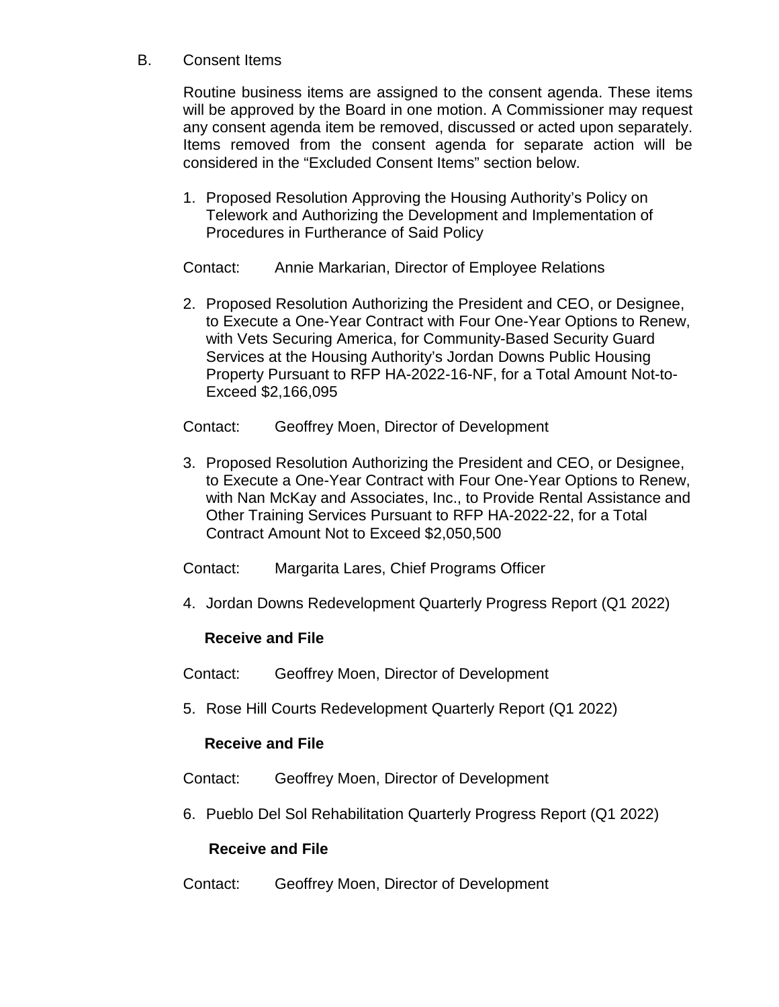## B. Consent Items

Routine business items are assigned to the consent agenda. These items will be approved by the Board in one motion. A Commissioner may request any consent agenda item be removed, discussed or acted upon separately. Items removed from the consent agenda for separate action will be considered in the "Excluded Consent Items" section below.

1. Proposed Resolution Approving the Housing Authority's Policy on Telework and Authorizing the Development and Implementation of Procedures in Furtherance of Said Policy

Contact: Annie Markarian, Director of Employee Relations

- 2. Proposed Resolution Authorizing the President and CEO, or Designee, to Execute a One-Year Contract with Four One-Year Options to Renew, with Vets Securing America, for Community-Based Security Guard Services at the Housing Authority's Jordan Downs Public Housing Property Pursuant to RFP HA-2022-16-NF, for a Total Amount Not-to-Exceed \$2,166,095
- Contact: Geoffrey Moen, Director of Development
- 3. Proposed Resolution Authorizing the President and CEO, or Designee, to Execute a One-Year Contract with Four One-Year Options to Renew, with Nan McKay and Associates, Inc., to Provide Rental Assistance and Other Training Services Pursuant to RFP HA-2022-22, for a Total Contract Amount Not to Exceed \$2,050,500
- Contact: Margarita Lares, Chief Programs Officer
- 4. Jordan Downs Redevelopment Quarterly Progress Report (Q1 2022)

## **Receive and File**

Contact: Geoffrey Moen, Director of Development

5. Rose Hill Courts Redevelopment Quarterly Report (Q1 2022)

#### **Receive and File**

Contact: Geoffrey Moen, Director of Development

6. Pueblo Del Sol Rehabilitation Quarterly Progress Report (Q1 2022)

#### **Receive and File**

Contact: Geoffrey Moen, Director of Development